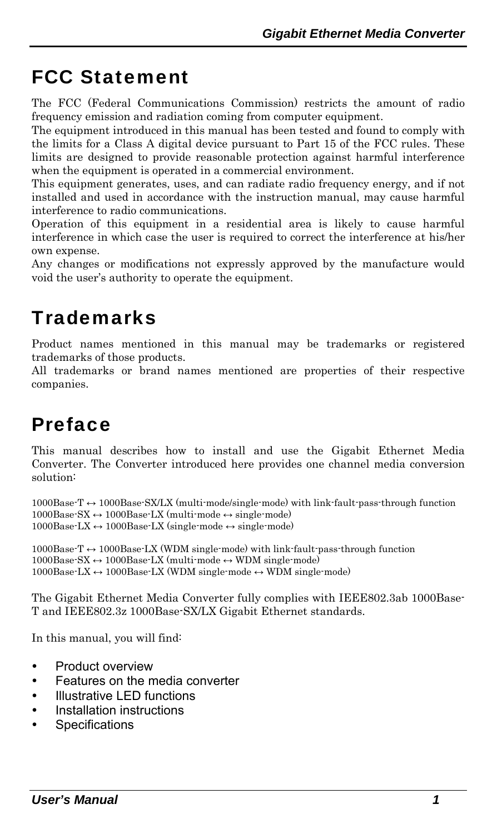## <span id="page-0-0"></span>FCC Statement

The FCC (Federal Communications Commission) restricts the amount of radio frequency emission and radiation coming from computer equipment.

The equipment introduced in this manual has been tested and found to comply with the limits for a Class A digital device pursuant to Part 15 of the FCC rules. These limits are designed to provide reasonable protection against harmful interference when the equipment is operated in a commercial environment.

This equipment generates, uses, and can radiate radio frequency energy, and if not installed and used in accordance with the instruction manual, may cause harmful interference to radio communications.

Operation of this equipment in a residential area is likely to cause harmful interference in which case the user is required to correct the interference at his/her own expense.

Any changes or modifications not expressly approved by the manufacture would void the user's authority to operate the equipment.

### **Trademarks**

Product names mentioned in this manual may be trademarks or registered trademarks of those products.

All trademarks or brand names mentioned are properties of their respective companies.

# Preface

This manual describes how to install and use the Gigabit Ethernet Media Converter. The Converter introduced here provides one channel media conversion solution:

1000Base-T ↔ 1000Base-SX/LX (multi-mode/single-mode) with link-fault-pass-through function  $1000Base-SX \leftrightarrow 1000Base-LX$  (multi-mode  $\leftrightarrow$  single-mode) 1000Base-LX ↔ 1000Base-LX (single-mode ↔ single-mode)

1000Base-T ↔ 1000Base-LX (WDM single-mode) with link-fault-pass-through function  $1000Base-SX \leftrightarrow 1000Base-LX$  (multi-mode  $\leftrightarrow$  WDM single-mode)  $1000Base-LX \leftrightarrow 1000Base-LX$  (WDM single-mode  $\leftrightarrow$  WDM single-mode)

The Gigabit Ethernet Media Converter fully complies with IEEE802.3ab 1000Base-T and IEEE802.3z 1000Base-SX/LX Gigabit Ethernet standards.

In this manual, you will find:

- Product overview
- Features on the media converter
- Illustrative LED functions
- Installation instructions
- Specifications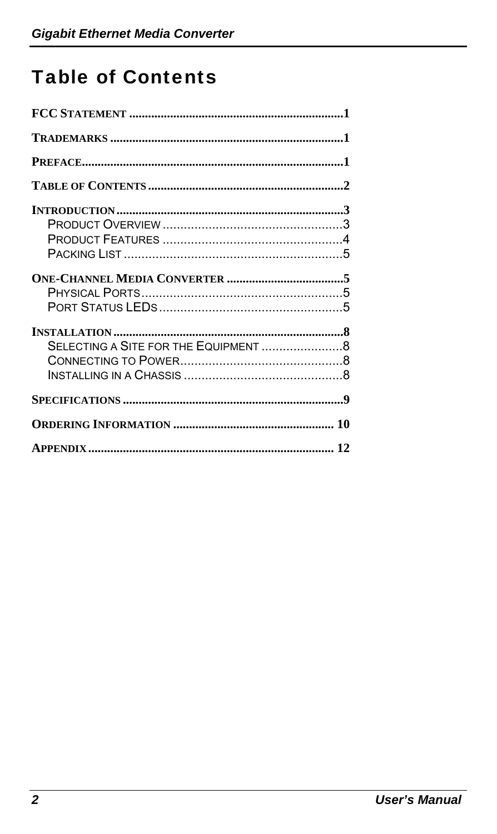# <span id="page-1-0"></span>**Table of Contents**

| SELECTING A SITE FOR THE EQUIPMENT 8 |  |
|--------------------------------------|--|
|                                      |  |
|                                      |  |
|                                      |  |
|                                      |  |
|                                      |  |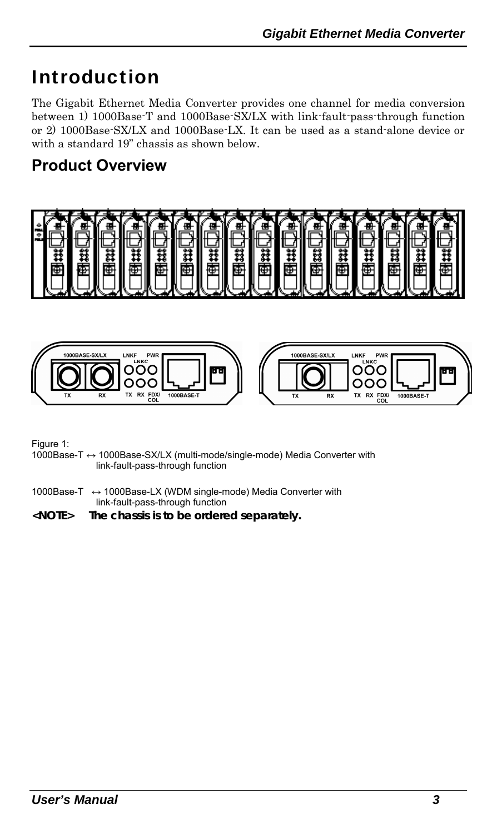### <span id="page-2-0"></span>Introduction

The Gigabit Ethernet Media Converter provides one channel for media conversion between 1) 1000Base-T and 1000Base-SX/LX with link-fault-pass-through function or 2) 1000Base-SX/LX and 1000Base-LX. It can be used as a stand-alone device or with a standard 19" chassis as shown below.

### **Product Overview**





Figure 1:

- 1000Base-T ↔ 1000Base-SX/LX (multi-mode/single-mode) Media Converter with link-fault-pass-through function
- 1000Base-T ↔ 1000Base-LX (WDM single-mode) Media Converter with link-fault-pass-through function
- **<NOTE> The chassis is to be ordered separately.**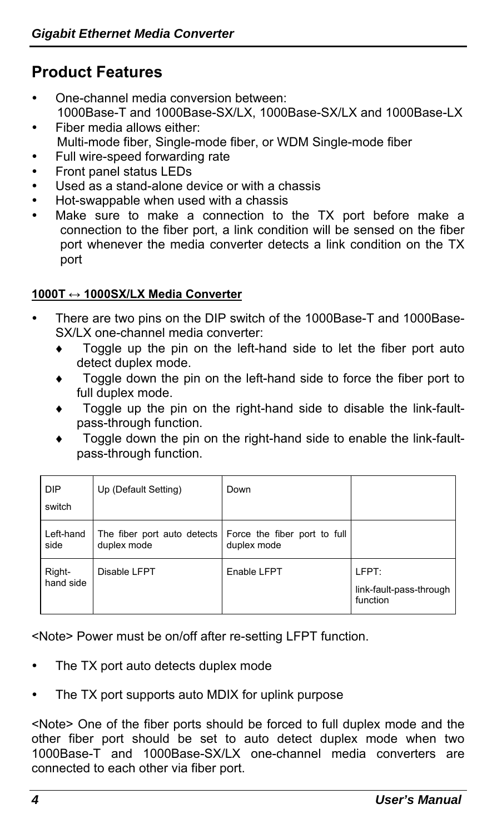### <span id="page-3-0"></span>**Product Features**

- One-channel media conversion between: 1000Base-T and 1000Base-SX/LX, 1000Base-SX/LX and 1000Base-LX
- Fiber media allows either: Multi-mode fiber, Single-mode fiber, or WDM Single-mode fiber
- Full wire-speed forwarding rate
- Front panel status LEDs
- Used as a stand-alone device or with a chassis
- Hot-swappable when used with a chassis
- Make sure to make a connection to the TX port before make a connection to the fiber port, a link condition will be sensed on the fiber port whenever the media converter detects a link condition on the TX port

#### **1000T ↔ 1000SX/LX Media Converter**

- There are two pins on the DIP switch of the 1000Base-T and 1000Base-SX/LX one-channel media converter:
	- ♦ Toggle up the pin on the left-hand side to let the fiber port auto detect duplex mode.
	- Toggle down the pin on the left-hand side to force the fiber port to full duplex mode.
	- Toggle up the pin on the right-hand side to disable the link-faultpass-through function.
	- Toggle down the pin on the right-hand side to enable the link-faultpass-through function.

| <b>DIP</b><br>switch | Up (Default Setting)                       | Down                                        |                                              |
|----------------------|--------------------------------------------|---------------------------------------------|----------------------------------------------|
| Left-hand<br>side    | The fiber port auto detects<br>duplex mode | Force the fiber port to full<br>duplex mode |                                              |
| Right-<br>hand side  | Disable LFPT                               | Enable LFPT                                 | LFPT:<br>link-fault-pass-through<br>function |

<Note> Power must be on/off after re-setting LFPT function.

- The TX port auto detects duplex mode
- The TX port supports auto MDIX for uplink purpose

<Note> One of the fiber ports should be forced to full duplex mode and the other fiber port should be set to auto detect duplex mode when two 1000Base-T and 1000Base-SX/LX one-channel media converters are connected to each other via fiber port.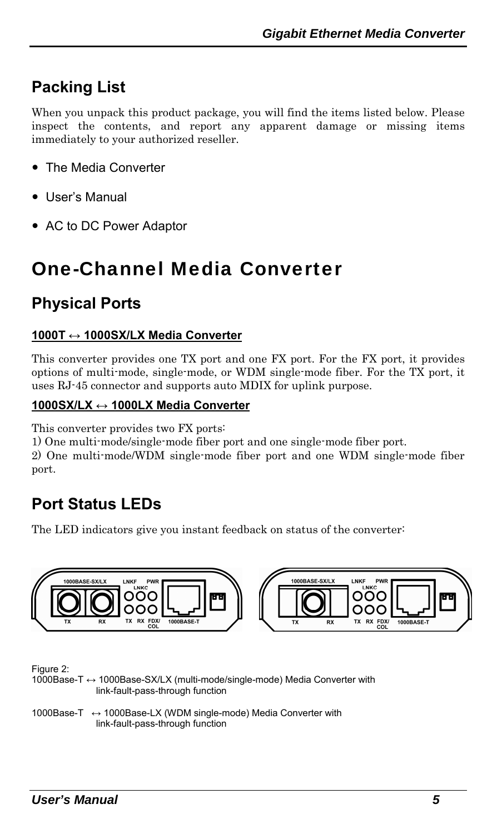### <span id="page-4-0"></span>**Packing List**

When you unpack this product package, you will find the items listed below. Please inspect the contents, and report any apparent damage or missing items immediately to your authorized reseller.

- The Media Converter
- User's Manual
- AC to DC Power Adaptor

### One-Channel Media Converter

#### **Physical Ports**

#### **1000T ↔ 1000SX/LX Media Converter**

This converter provides one TX port and one FX port. For the FX port, it provides options of multi-mode, single-mode, or WDM single-mode fiber. For the TX port, it uses RJ-45 connector and supports auto MDIX for uplink purpose.

#### **1000SX/LX ↔ 1000LX Media Converter**

This converter provides two FX ports:

1) One multi-mode/single-mode fiber port and one single-mode fiber port.

2) One multi-mode/WDM single-mode fiber port and one WDM single-mode fiber port.

### **Port Status LEDs**

The LED indicators give you instant feedback on status of the converter:



Figure 2:

1000Base-T ↔ 1000Base-SX/LX (multi-mode/single-mode) Media Converter with link-fault-pass-through function

1000Base-T ↔ 1000Base-LX (WDM single-mode) Media Converter with link-fault-pass-through function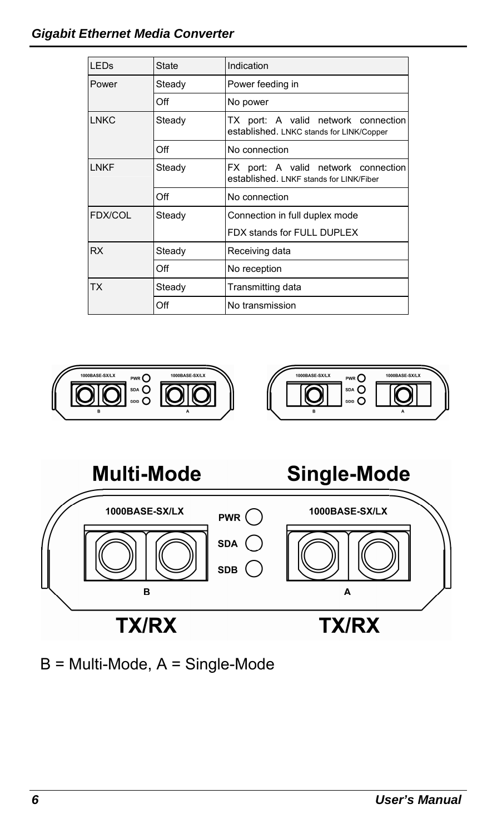#### *Gigabit Ethernet Media Converter*

| <b>LED<sub>S</sub></b> | <b>State</b> | Indication                                                                      |
|------------------------|--------------|---------------------------------------------------------------------------------|
| Power                  | Steady       | Power feeding in                                                                |
|                        | Off          | No power                                                                        |
| <b>LNKC</b>            | Steady       | TX port: A valid network connection<br>established. LNKC stands for LINK/Copper |
|                        | Off          | No connection                                                                   |
| LNKF                   | Steady       | FX port: A valid network connection<br>established. LNKF stands for LINK/Fiber  |
|                        | Off          | No connection                                                                   |
| <b>FDX/COL</b>         | Steady       | Connection in full duplex mode                                                  |
|                        |              | FDX stands for FULL DUPLEX                                                      |
| <b>RX</b>              | Steady       | Receiving data                                                                  |
|                        | Off          | No reception                                                                    |
| <b>TX</b>              | Steady       | Transmitting data                                                               |
|                        | Off          | No transmission                                                                 |







B = Multi-Mode, A = Single-Mode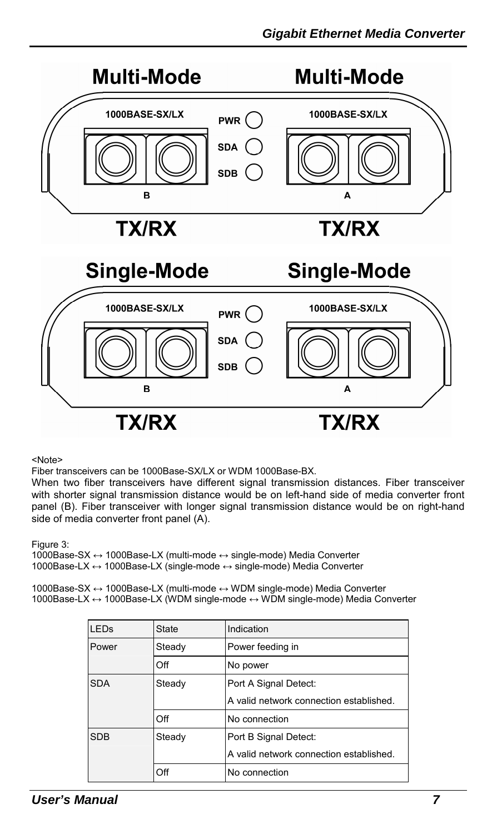

<Note>

Fiber transceivers can be 1000Base-SX/LX or WDM 1000Base-BX.

When two fiber transceivers have different signal transmission distances. Fiber transceiver with shorter signal transmission distance would be on left-hand side of media converter front panel (B). Fiber transceiver with longer signal transmission distance would be on right-hand side of media converter front panel (A).

Figure 3:

1000Base-SX ↔ 1000Base-LX (multi-mode ↔ single-mode) Media Converter 1000Base-LX ↔ 1000Base-LX (single-mode ↔ single-mode) Media Converter

1000Base-SX ↔ 1000Base-LX (multi-mode ↔ WDM single-mode) Media Converter 1000Base-LX ↔ 1000Base-LX (WDM single-mode ↔ WDM single-mode) Media Converter

| <b>LEDs</b> | <b>State</b> | Indication                              |
|-------------|--------------|-----------------------------------------|
| Power       | Steady       | Power feeding in                        |
|             | Off          | No power                                |
| <b>SDA</b>  | Steady       | Port A Signal Detect:                   |
|             |              | A valid network connection established. |
|             | Off          | No connection                           |
| <b>SDB</b>  | Steady       | Port B Signal Detect:                   |
|             |              | A valid network connection established. |
|             | Off          | No connection                           |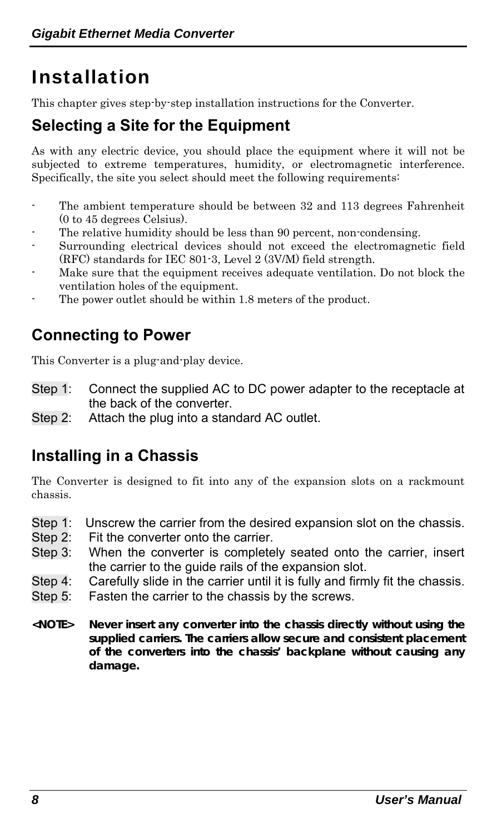# <span id="page-7-0"></span>Installation

This chapter gives step-by-step installation instructions for the Converter.

### **Selecting a Site for the Equipment**

As with any electric device, you should place the equipment where it will not be subjected to extreme temperatures, humidity, or electromagnetic interference. Specifically, the site you select should meet the following requirements:

- The ambient temperature should be between 32 and 113 degrees Fahrenheit (0 to 45 degrees Celsius).
- The relative humidity should be less than 90 percent, non-condensing.
- Surrounding electrical devices should not exceed the electromagnetic field (RFC) standards for IEC 801-3, Level 2 (3V/M) field strength.
- Make sure that the equipment receives adequate ventilation. Do not block the ventilation holes of the equipment.
- The power outlet should be within 1.8 meters of the product.

### **Connecting to Power**

This Converter is a plug-and-play device.

- Step 1: Connect the supplied AC to DC power adapter to the receptacle at the back of the converter.
- Step 2: Attach the plug into a standard AC outlet.

### **Installing in a Chassis**

The Converter is designed to fit into any of the expansion slots on a rackmount chassis.

- Step 1: Unscrew the carrier from the desired expansion slot on the chassis.
- Step 2: Fit the converter onto the carrier.
- Step 3: When the converter is completely seated onto the carrier, insert the carrier to the guide rails of the expansion slot.
- Step 4: Carefully slide in the carrier until it is fully and firmly fit the chassis.
- Step 5: Fasten the carrier to the chassis by the screws.
- **<NOTE> Never insert any converter into the chassis directly without using the supplied carriers. The carriers allow secure and consistent placement of the converters into the chassis' backplane without causing any damage.**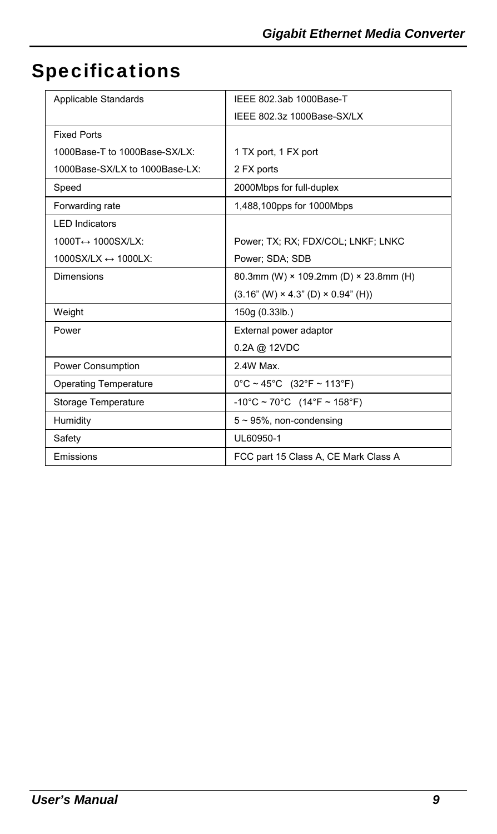# <span id="page-8-0"></span>Specifications

| Applicable Standards                   | IEEE 802.3ab 1000Base-T                        |
|----------------------------------------|------------------------------------------------|
|                                        | IEEE 802.3z 1000Base-SX/LX                     |
| <b>Fixed Ports</b>                     |                                                |
| 1000Base-T to 1000Base-SX/LX:          | 1 TX port, 1 FX port                           |
| 1000Base-SX/LX to 1000Base-LX:         | 2 FX ports                                     |
| Speed                                  | 2000Mbps for full-duplex                       |
| Forwarding rate                        | 1,488,100pps for 1000Mbps                      |
| <b>LED Indicators</b>                  |                                                |
| 1000T↔ 1000SX/LX:                      | Power: TX: RX: FDX/COL: LNKF: LNKC             |
| $1000$ SX/LX $\leftrightarrow$ 1000LX: | Power: SDA: SDB                                |
| Dimensions                             | 80.3mm (W) × 109.2mm (D) × 23.8mm (H)          |
|                                        | $(3.16" (W) \times 4.3" (D) \times 0.94" (H))$ |
| Weight                                 | 150g (0.33lb.)                                 |
| Power                                  | External power adaptor                         |
|                                        | 0.2A @ 12VDC                                   |
| Power Consumption                      | 2.4W Max.                                      |
| <b>Operating Temperature</b>           | $0^{\circ}$ C ~ 45°C (32°F ~ 113°F)            |
| Storage Temperature                    | $-10^{\circ}$ C ~ 70°C (14°F ~ 158°F)          |
| Humidity                               | $5 \sim 95\%$ , non-condensing                 |
| Safety                                 | UL60950-1                                      |
| Emissions                              | FCC part 15 Class A, CE Mark Class A           |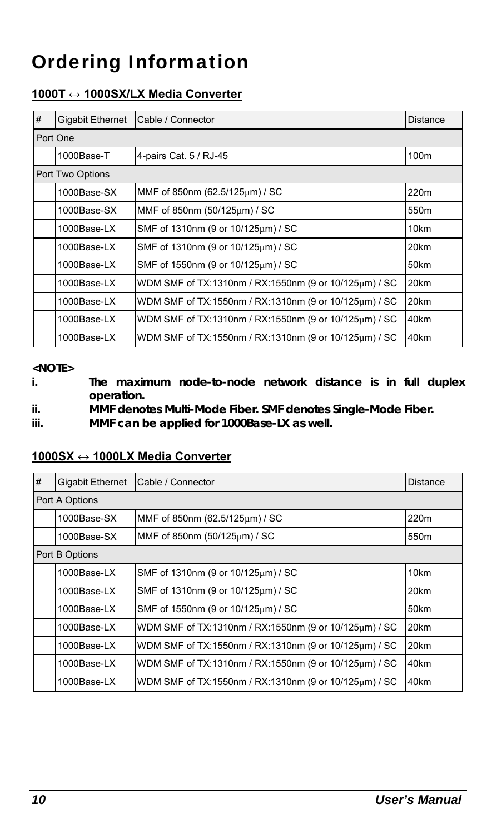# <span id="page-9-0"></span>Ordering Information

#### **1000T ↔ 1000SX/LX Media Converter**

| # | <b>Gigabit Ethernet</b> | Cable / Connector                                     | Distance         |  |
|---|-------------------------|-------------------------------------------------------|------------------|--|
|   | Port One                |                                                       |                  |  |
|   | 1000Base-T              | 4-pairs Cat. 5 / RJ-45                                | 100m             |  |
|   | Port Two Options        |                                                       |                  |  |
|   | 1000Base-SX             | MMF of 850nm (62.5/125um) / SC                        | 220m             |  |
|   | 1000Base-SX             | MMF of 850nm (50/125um) / SC                          | 550 <sub>m</sub> |  |
|   | 1000Base-LX             | SMF of 1310nm (9 or 10/125um) / SC                    | 10km             |  |
|   | 1000Base-LX             | SMF of 1310nm (9 or 10/125um) / SC                    | 20km             |  |
|   | 1000Base-LX             | SMF of 1550nm (9 or 10/125um) / SC                    | 50km             |  |
|   | 1000Base-LX             | WDM SMF of TX:1310nm / RX:1550nm (9 or 10/125um) / SC | 20km             |  |
|   | 1000Base-LX             | WDM SMF of TX:1550nm / RX:1310nm (9 or 10/125um) / SC | 20km             |  |
|   | 1000Base-LX             | WDM SMF of TX:1310nm / RX:1550nm (9 or 10/125um) / SC | 40km             |  |
|   | 1000Base-LX             | WDM SMF of TX:1550nm / RX:1310nm (9 or 10/125um) / SC | 40km             |  |

#### **<NOTE>**

**i. The maximum node-to-node network distance is in full duplex operation.** 

**ii. MMF denotes Multi-Mode Fiber. SMF denotes Single-Mode Fiber.** 

**iii. MMF can be applied for 1000Base-LX as well.** 

| 1000SX ↔ 1000LX Media Converter |
|---------------------------------|
|---------------------------------|

| #              | <b>Gigabit Ethernet</b> | Cable / Connector                                     | Distance         |
|----------------|-------------------------|-------------------------------------------------------|------------------|
| Port A Options |                         |                                                       |                  |
|                | 1000Base-SX             | MMF of 850nm (62.5/125um) / SC                        | 220m             |
|                | 1000Base-SX             | MMF of 850nm (50/125um) / SC                          | 550 <sub>m</sub> |
|                | Port B Options          |                                                       |                  |
|                | 1000Base-LX             | SMF of 1310nm (9 or 10/125um) / SC                    | 10km             |
|                | 1000Base-LX             | SMF of 1310nm (9 or 10/125um) / SC                    | 20km             |
|                | 1000Base-LX             | SMF of 1550nm (9 or 10/125um) / SC                    | 50km             |
|                | 1000Base-LX             | WDM SMF of TX:1310nm / RX:1550nm (9 or 10/125µm) / SC | 20km             |
|                | 1000Base-LX             | WDM SMF of TX:1550nm / RX:1310nm (9 or 10/125um) / SC | 20km             |
|                | 1000Base-LX             | WDM SMF of TX:1310nm / RX:1550nm (9 or 10/125um) / SC | 40km             |
|                | 1000Base-LX             | WDM SMF of TX:1550nm / RX:1310nm (9 or 10/125um) / SC | 40km             |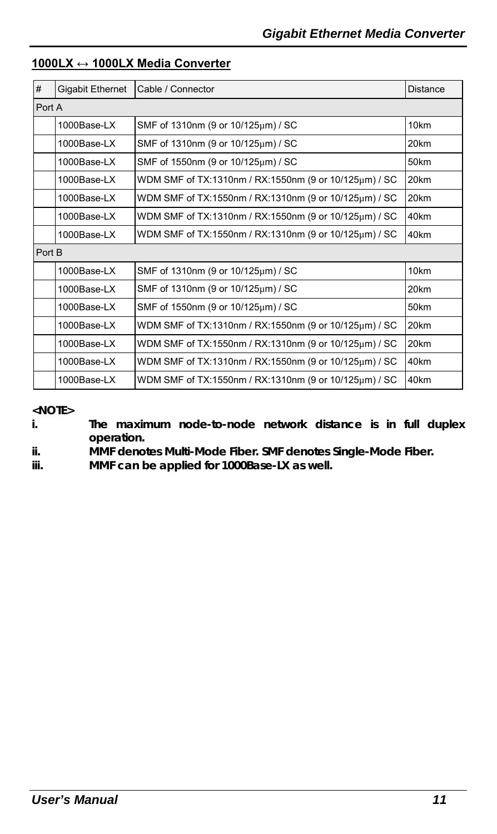| #      | <b>Gigabit Ethernet</b> | Cable / Connector                                     | <b>Distance</b>  |
|--------|-------------------------|-------------------------------------------------------|------------------|
| Port A |                         |                                                       |                  |
|        | 1000Base-LX             | SMF of 1310nm (9 or 10/125um) / SC                    | 10km             |
|        | 1000Base-LX             | SMF of 1310nm (9 or 10/125um) / SC                    | 20km             |
|        | 1000Base-LX             | SMF of 1550nm (9 or 10/125μm) / SC                    | 50km             |
|        | 1000Base-LX             | WDM SMF of TX:1310nm / RX:1550nm (9 or 10/125um) / SC | 20km             |
|        | 1000Base-LX             | WDM SMF of TX:1550nm / RX:1310nm (9 or 10/125um) / SC | 20km             |
|        | 1000Base-LX             | WDM SMF of TX:1310nm / RX:1550nm (9 or 10/125um) / SC | 40km             |
|        | 1000Base-LX             | WDM SMF of TX:1550nm / RX:1310nm (9 or 10/125um) / SC | 40km             |
| Port B |                         |                                                       |                  |
|        | 1000Base-LX             | SMF of 1310nm (9 or 10/125um) / SC                    | 10 <sub>km</sub> |
|        | 1000Base-LX             | SMF of 1310nm (9 or 10/125µm) / SC                    | 20km             |
|        | 1000Base-LX             | SMF of 1550nm (9 or 10/125um) / SC                    | 50km             |
|        | 1000Base-LX             | WDM SMF of TX:1310nm / RX:1550nm (9 or 10/125um) / SC | 20km             |
|        | 1000Base-LX             | WDM SMF of TX:1550nm / RX:1310nm (9 or 10/125um) / SC | 20km             |
|        | 1000Base-LX             | WDM SMF of TX:1310nm / RX:1550nm (9 or 10/125um) / SC | 40km             |
|        | 1000Base-LX             | WDM SMF of TX:1550nm / RX:1310nm (9 or 10/125um) / SC | 40km             |

#### **1000LX ↔ 1000LX Media Converter**

**<NOTE>** 

**i. The maximum node-to-node network distance is in full duplex operation.** 

**ii. MMF denotes Multi-Mode Fiber. SMF denotes Single-Mode Fiber.** 

**iii. MMF can be applied for 1000Base-LX as well.**